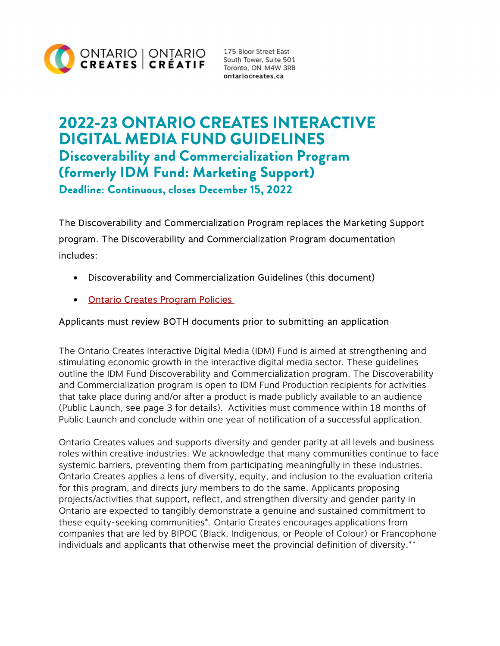

ontariocreates.ca

# 2022-23 ONTARIO CREATES INTERACTIVE DIGITAL MEDIA FUND GUIDELINES Discoverability and Commercialization Program (formerly IDM Fund: Marketing Support) Deadline: Continuous, closes December 15, 2022

The Discoverability and Commercialization Program replaces the Marketing Support program. The Discoverability and Commercialization Program documentation includes:

- Discoverability and Commercialization Guidelines (this document)
- **[Ontario Creates Program Policies](https://ontariocreates.ca/uploads/Industry_Initiatives/ENG/OC-Program-Policies_FINAL.pdf)**

#### Applicants must review BOTH documents prior to submitting an application

The Ontario Creates Interactive Digital Media (IDM) Fund is aimed at strengthening and stimulating economic growth in the interactive digital media sector. These guidelines outline the IDM Fund Discoverability and Commercialization program. The Discoverability and Commercialization program is open to IDM Fund Production recipients for activities that take place during and/or after a product is made publicly available to an audience (Public Launch, see page 3 for details). Activities must commence within 18 months of Public Launch and conclude within one year of notification of a successful application.

Ontario Creates values and supports diversity and gender parity at all levels and business roles within creative industries. We acknowledge that many communities continue to face systemic barriers, preventing them from participating meaningfully in these industries. Ontario Creates applies a lens of diversity, equity, and inclusion to the evaluation criteria for this program, and directs jury members to do the same. Applicants proposing projects/activities that support, reflect, and strengthen diversity and gender parity in Ontario are expected to tangibly demonstrate a genuine and sustained commitment to these equity-seeking communities\*. Ontario Creates encourages applications from companies that are led by BIPOC (Black, Indigenous, or People of Colour) or Francophone individuals and applicants that otherwise meet the provincial definition of diversity.\*\*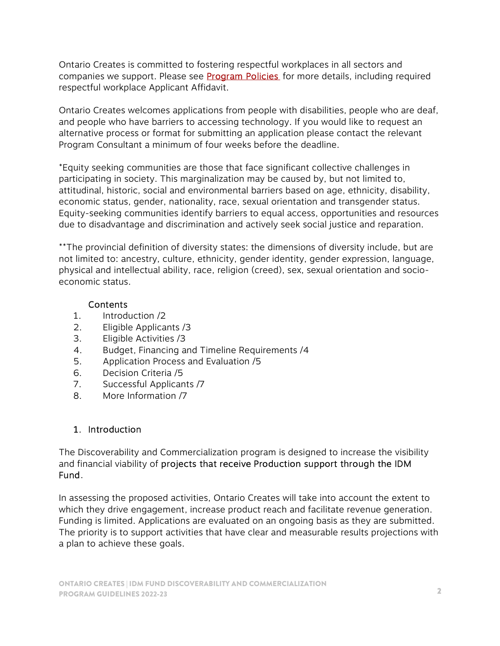Ontario Creates is committed to fostering respectful workplaces in all sectors and companies we support. Please see **Program Policies** for more details, including required respectful workplace Applicant Affidavit.

Ontario Creates welcomes applications from people with disabilities, people who are deaf, and people who have barriers to accessing technology. If you would like to request an alternative process or format for submitting an application please contact the relevant Program Consultant a minimum of four weeks before the deadline.

\*Equity seeking communities are those that face significant collective challenges in participating in society. This marginalization may be caused by, but not limited to, attitudinal, historic, social and environmental barriers based on age, ethnicity, disability, economic status, gender, nationality, race, sexual orientation and transgender status. Equity-seeking communities identify barriers to equal access, opportunities and resources due to disadvantage and discrimination and actively seek social justice and reparation.

\*\*The provincial definition of diversity states: the dimensions of diversity include, but are not limited to: ancestry, culture, ethnicity, gender identity, gender expression, language, physical and intellectual ability, race, religion (creed), sex, sexual orientation and socioeconomic status.

#### Contents

- 1. Introduction /2
- 2. Eligible Applicants /3
- 3. Eligible Activities /3
- 4. Budget, Financing and Timeline Requirements /4
- 5. Application Process and Evaluation /5
- 6. Decision Criteria /5
- 7. Successful Applicants /7
- 8. More Information /7

#### 1. Introduction

The Discoverability and Commercialization program is designed to increase the visibility and financial viability of projects that receive Production support through the IDM Fund.

In assessing the proposed activities, Ontario Creates will take into account the extent to which they drive engagement, increase product reach and facilitate revenue generation. Funding is limited. Applications are evaluated on an ongoing basis as they are submitted. The priority is to support activities that have clear and measurable results projections with a plan to achieve these goals.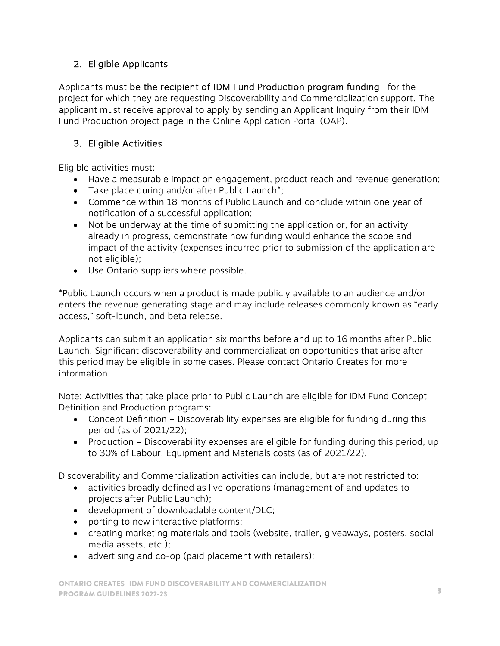# 2. Eligible Applicants

Applicants must be the recipient of IDM Fund Production program funding for the project for which they are requesting Discoverability and Commercialization support. The applicant must receive approval to apply by sending an Applicant Inquiry from their IDM Fund Production project page in the Online Application Portal (OAP).

# 3. Eligible Activities

Eligible activities must:

- Have a measurable impact on engagement, product reach and revenue generation;
- Take place during and/or after Public Launch\*;
- Commence within 18 months of Public Launch and conclude within one year of notification of a successful application;
- Not be underway at the time of submitting the application or, for an activity already in progress, demonstrate how funding would enhance the scope and impact of the activity (expenses incurred prior to submission of the application are not eligible);
- Use Ontario suppliers where possible.

\*Public Launch occurs when a product is made publicly available to an audience and/or enters the revenue generating stage and may include releases commonly known as "early access," soft-launch, and beta release.

Applicants can submit an application six months before and up to 16 months after Public Launch. Significant discoverability and commercialization opportunities that arise after this period may be eligible in some cases. Please contact Ontario Creates for more information.

Note: Activities that take place prior to Public Launch are eligible for IDM Fund Concept Definition and Production programs:

- Concept Definition Discoverability expenses are eligible for funding during this period (as of 2021/22);
- Production Discoverability expenses are eligible for funding during this period, up to 30% of Labour, Equipment and Materials costs (as of 2021/22).

Discoverability and Commercialization activities can include, but are not restricted to:

- activities broadly defined as live operations (management of and updates to projects after Public Launch);
- development of downloadable content/DLC;
- porting to new interactive platforms;
- creating marketing materials and tools (website, trailer, giveaways, posters, social media assets, etc.);
- advertising and co-op (paid placement with retailers);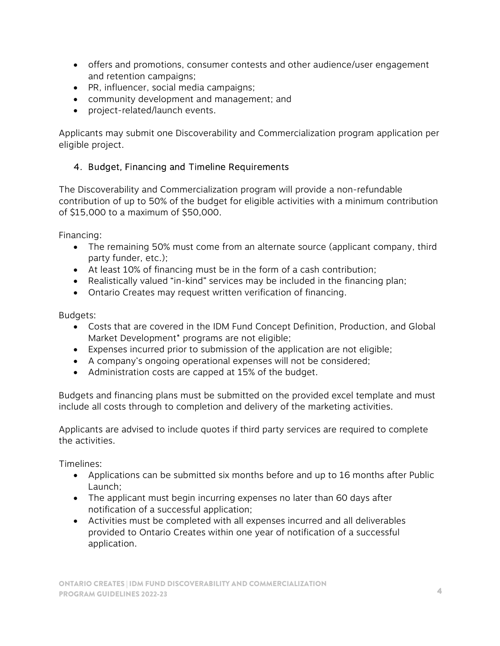- offers and promotions, consumer contests and other audience/user engagement and retention campaigns;
- PR, influencer, social media campaigns;
- community development and management; and
- project-related/launch events.

Applicants may submit one Discoverability and Commercialization program application per eligible project.

## 4. Budget, Financing and Timeline Requirements

The Discoverability and Commercialization program will provide a non-refundable contribution of up to 50% of the budget for eligible activities with a minimum contribution of \$15,000 to a maximum of \$50,000.

Financing:

- The remaining 50% must come from an alternate source (applicant company, third party funder, etc.);
- At least 10% of financing must be in the form of a cash contribution;
- Realistically valued "in-kind" services may be included in the financing plan;
- Ontario Creates may request written verification of financing.

Budgets:

- Costs that are covered in the IDM Fund Concept Definition, Production, and Global Market Development<sup>\*</sup> programs are not eligible;
- Expenses incurred prior to submission of the application are not eligible;
- A company's ongoing operational expenses will not be considered;
- Administration costs are capped at 15% of the budget.

Budgets and financing plans must be submitted on the provided excel template and must include all costs through to completion and delivery of the marketing activities.

Applicants are advised to include quotes if third party services are required to complete the activities.

Timelines:

- Applications can be submitted six months before and up to 16 months after Public Launch;
- The applicant must begin incurring expenses no later than 60 days after notification of a successful application;
- Activities must be completed with all expenses incurred and all deliverables provided to Ontario Creates within one year of notification of a successful application.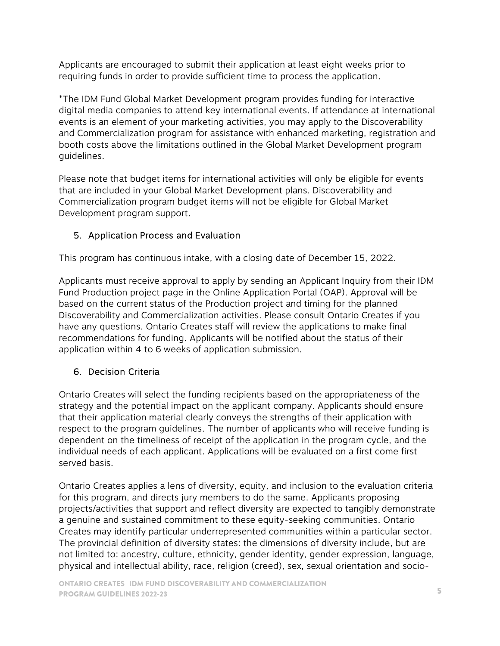Applicants are encouraged to submit their application at least eight weeks prior to requiring funds in order to provide sufficient time to process the application.

\*The IDM Fund Global Market Development program provides funding for interactive digital media companies to attend key international events. If attendance at international events is an element of your marketing activities, you may apply to the Discoverability and Commercialization program for assistance with enhanced marketing, registration and booth costs above the limitations outlined in the Global Market Development program guidelines.

Please note that budget items for international activities will only be eligible for events that are included in your Global Market Development plans. Discoverability and Commercialization program budget items will not be eligible for Global Market Development program support.

## 5. Application Process and Evaluation

This program has continuous intake, with a closing date of December 15, 2022.

Applicants must receive approval to apply by sending an Applicant Inquiry from their IDM Fund Production project page in the Online Application Portal (OAP). Approval will be based on the current status of the Production project and timing for the planned Discoverability and Commercialization activities. Please consult Ontario Creates if you have any questions. Ontario Creates staff will review the applications to make final recommendations for funding. Applicants will be notified about the status of their application within 4 to 6 weeks of application submission.

## 6. Decision Criteria

Ontario Creates will select the funding recipients based on the appropriateness of the strategy and the potential impact on the applicant company. Applicants should ensure that their application material clearly conveys the strengths of their application with respect to the program guidelines. The number of applicants who will receive funding is dependent on the timeliness of receipt of the application in the program cycle, and the individual needs of each applicant. Applications will be evaluated on a first come first served basis.

Ontario Creates applies a lens of diversity, equity, and inclusion to the evaluation criteria for this program, and directs jury members to do the same. Applicants proposing projects/activities that support and reflect diversity are expected to tangibly demonstrate a genuine and sustained commitment to these equity-seeking communities. Ontario Creates may identify particular underrepresented communities within a particular sector. The provincial definition of diversity states: the dimensions of diversity include, but are not limited to: ancestry, culture, ethnicity, gender identity, gender expression, language, physical and intellectual ability, race, religion (creed), sex, sexual orientation and socio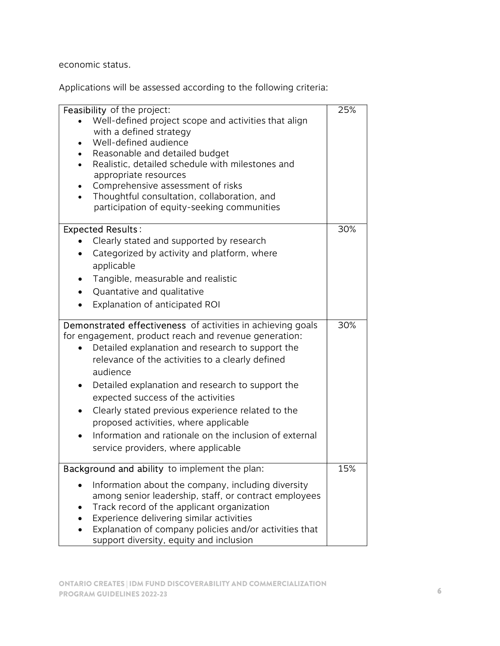economic status.

Applications will be assessed according to the following criteria:

| Feasibility of the project:                                 | 25% |
|-------------------------------------------------------------|-----|
| Well-defined project scope and activities that align        |     |
| with a defined strategy                                     |     |
| Well-defined audience                                       |     |
| Reasonable and detailed budget                              |     |
| Realistic, detailed schedule with milestones and            |     |
| appropriate resources                                       |     |
| Comprehensive assessment of risks                           |     |
| Thoughtful consultation, collaboration, and                 |     |
| participation of equity-seeking communities                 |     |
|                                                             |     |
| <b>Expected Results:</b>                                    | 30% |
| Clearly stated and supported by research                    |     |
| Categorized by activity and platform, where                 |     |
| applicable                                                  |     |
|                                                             |     |
| Tangible, measurable and realistic                          |     |
| Quantative and qualitative                                  |     |
| Explanation of anticipated ROI                              |     |
|                                                             |     |
| Demonstrated effectiveness of activities in achieving goals | 30% |
| for engagement, product reach and revenue generation:       |     |
| Detailed explanation and research to support the            |     |
| relevance of the activities to a clearly defined            |     |
| audience                                                    |     |
| Detailed explanation and research to support the            |     |
| expected success of the activities                          |     |
| Clearly stated previous experience related to the           |     |
| proposed activities, where applicable                       |     |
|                                                             |     |
| Information and rationale on the inclusion of external      |     |
| service providers, where applicable                         |     |
|                                                             |     |
| Background and ability to implement the plan:               | 15% |
| Information about the company, including diversity          |     |
| among senior leadership, staff, or contract employees       |     |
| Track record of the applicant organization                  |     |
| Experience delivering similar activities                    |     |
| Explanation of company policies and/or activities that      |     |
| support diversity, equity and inclusion                     |     |